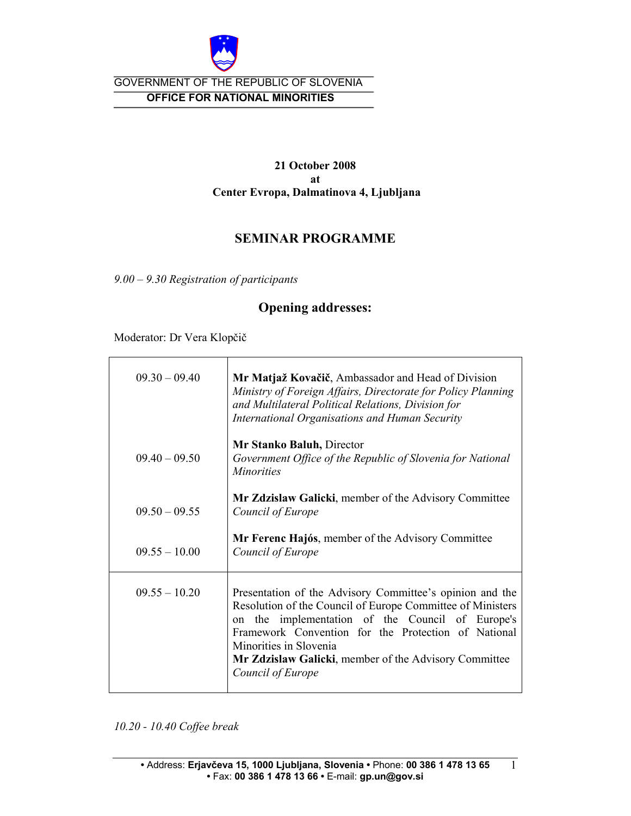

### GOVERNMENT OF THE REPUBLIC OF SLOVENIA  **OFFICE FOR NATIONAL MINORITIES**

#### **21 October 2008 at Center Evropa, Dalmatinova 4, Ljubljana**

## **SEMINAR PROGRAMME**

*9.00 – 9.30 Registration of participants* 

## **Opening addresses:**

Moderator: Dr Vera Klopčič

| $09.30 - 09.40$ | Mr Matjaž Kovačič, Ambassador and Head of Division<br>Ministry of Foreign Affairs, Directorate for Policy Planning<br>and Multilateral Political Relations, Division for<br>International Organisations and Human Security                                                                                                                      |
|-----------------|-------------------------------------------------------------------------------------------------------------------------------------------------------------------------------------------------------------------------------------------------------------------------------------------------------------------------------------------------|
| $09.40 - 09.50$ | Mr Stanko Baluh, Director<br>Government Office of the Republic of Slovenia for National<br><i>Minorities</i>                                                                                                                                                                                                                                    |
| $09.50 - 09.55$ | <b>Mr Zdzislaw Galicki</b> , member of the Advisory Committee<br>Council of Europe                                                                                                                                                                                                                                                              |
| $09.55 - 10.00$ | <b>Mr Ferenc Hajós, member of the Advisory Committee</b><br>Council of Europe                                                                                                                                                                                                                                                                   |
| $09.55 - 10.20$ | Presentation of the Advisory Committee's opinion and the<br>Resolution of the Council of Europe Committee of Ministers<br>implementation of the Council of Europe's<br>the<br>on<br>Framework Convention for the Protection of National<br>Minorities in Slovenia<br>Mr Zdzislaw Galicki, member of the Advisory Committee<br>Council of Europe |

*10.20 - 10.40 Coffee break* 

1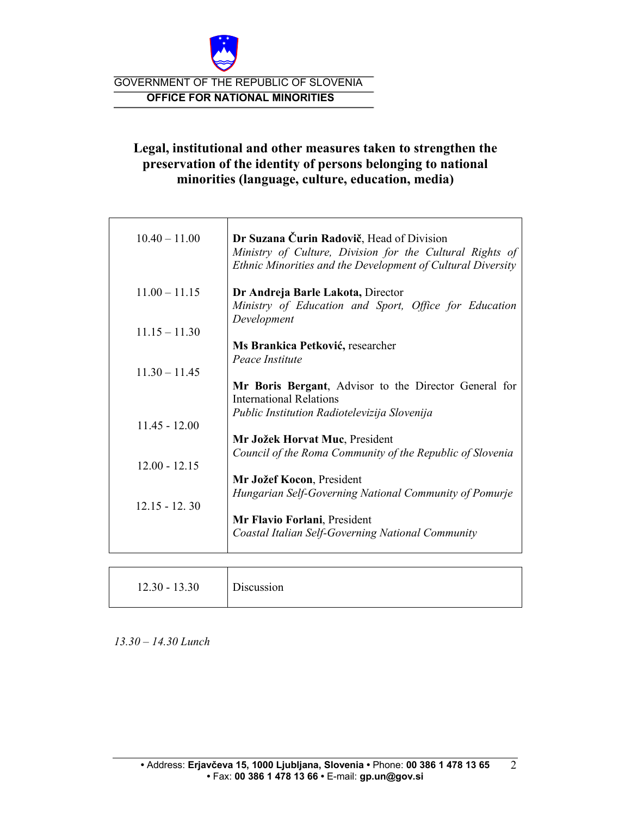

GOVERNMENT OF THE REPUBLIC OF SLOVENIA  **OFFICE FOR NATIONAL MINORITIES** 

## **Legal, institutional and other measures taken to strengthen the preservation of the identity of persons belonging to national minorities (language, culture, education, media)**

| $10.40 - 11.00$ | Dr Suzana Čurin Radovič, Head of Division<br>Ministry of Culture, Division for the Cultural Rights of<br>Ethnic Minorities and the Development of Cultural Diversity |
|-----------------|----------------------------------------------------------------------------------------------------------------------------------------------------------------------|
| $11.00 - 11.15$ | Dr Andreja Barle Lakota, Director                                                                                                                                    |
|                 | Ministry of Education and Sport, Office for Education<br>Development                                                                                                 |
| $11.15 - 11.30$ |                                                                                                                                                                      |
|                 | Ms Brankica Petković, researcher                                                                                                                                     |
|                 | Peace Institute                                                                                                                                                      |
| $1130 - 1145$   |                                                                                                                                                                      |
|                 | Mr Boris Bergant, Advisor to the Director General for                                                                                                                |
|                 | <b>International Relations</b>                                                                                                                                       |
| $11.45 - 12.00$ | Public Institution Radiotelevizija Slovenija                                                                                                                         |
|                 | Mr Jožek Horvat Muc, President                                                                                                                                       |
|                 | Council of the Roma Community of the Republic of Slovenia                                                                                                            |
| $12.00 - 12.15$ |                                                                                                                                                                      |
|                 | Mr Jožef Kocon, President                                                                                                                                            |
|                 | Hungarian Self-Governing National Community of Pomurje                                                                                                               |
| $12.15 - 12.30$ |                                                                                                                                                                      |
|                 | Mr Flavio Forlani, President                                                                                                                                         |
|                 | Coastal Italian Self-Governing National Community                                                                                                                    |
|                 |                                                                                                                                                                      |

| $12.30 - 13.30$ | Discussion |
|-----------------|------------|
|-----------------|------------|

*13.30 – 14.30 Lunch*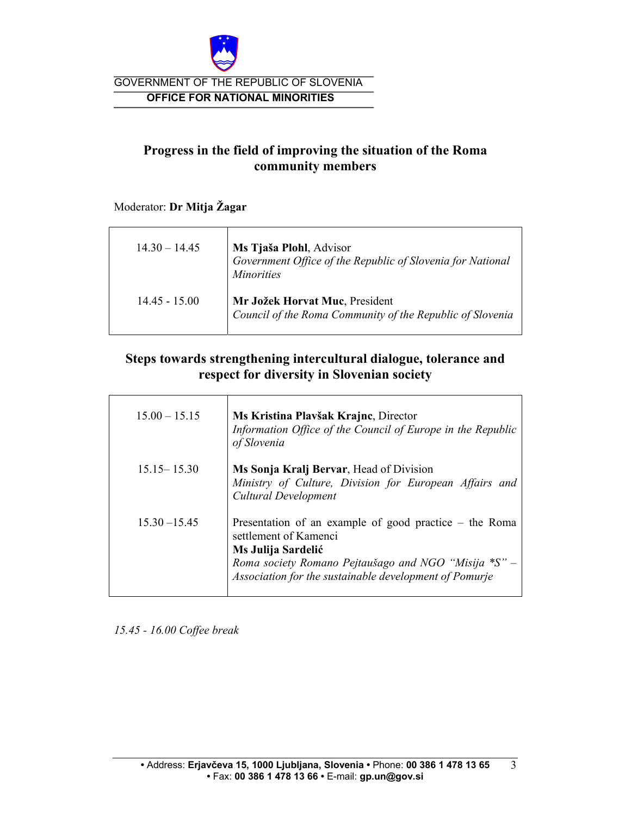

GOVERNMENT OF THE REPUBLIC OF SLOVENIA  **OFFICE FOR NATIONAL MINORITIES** 

# **Progress in the field of improving the situation of the Roma community members**

#### Moderator: **Dr Mitja Žagar**

| $14.30 - 14.45$ | Ms Tjaša Plohl, Advisor<br>Government Office of the Republic of Slovenia for National<br><i>Minorities</i> |
|-----------------|------------------------------------------------------------------------------------------------------------|
| $14.45 - 15.00$ | Mr Jožek Horvat Muc, President<br>Council of the Roma Community of the Republic of Slovenia                |

## **Steps towards strengthening intercultural dialogue, tolerance and respect for diversity in Slovenian society**

| $15.00 - 15.15$ | Ms Kristina Plavšak Krajne, Director<br>Information Office of the Council of Europe in the Republic<br>of Slovenia                                                                                                         |
|-----------------|----------------------------------------------------------------------------------------------------------------------------------------------------------------------------------------------------------------------------|
| $15.15 - 15.30$ | Ms Sonja Kralj Bervar, Head of Division<br>Ministry of Culture, Division for European Affairs and<br>Cultural Development                                                                                                  |
| $15.30 - 15.45$ | Presentation of an example of good practice – the Roma<br>settlement of Kamenci<br>Ms Julija Sardelić<br>Roma society Romano Pejtaušago and NGO "Misija $^*S"$ –<br>Association for the sustainable development of Pomurje |

*15.45 - 16.00 Coffee break*